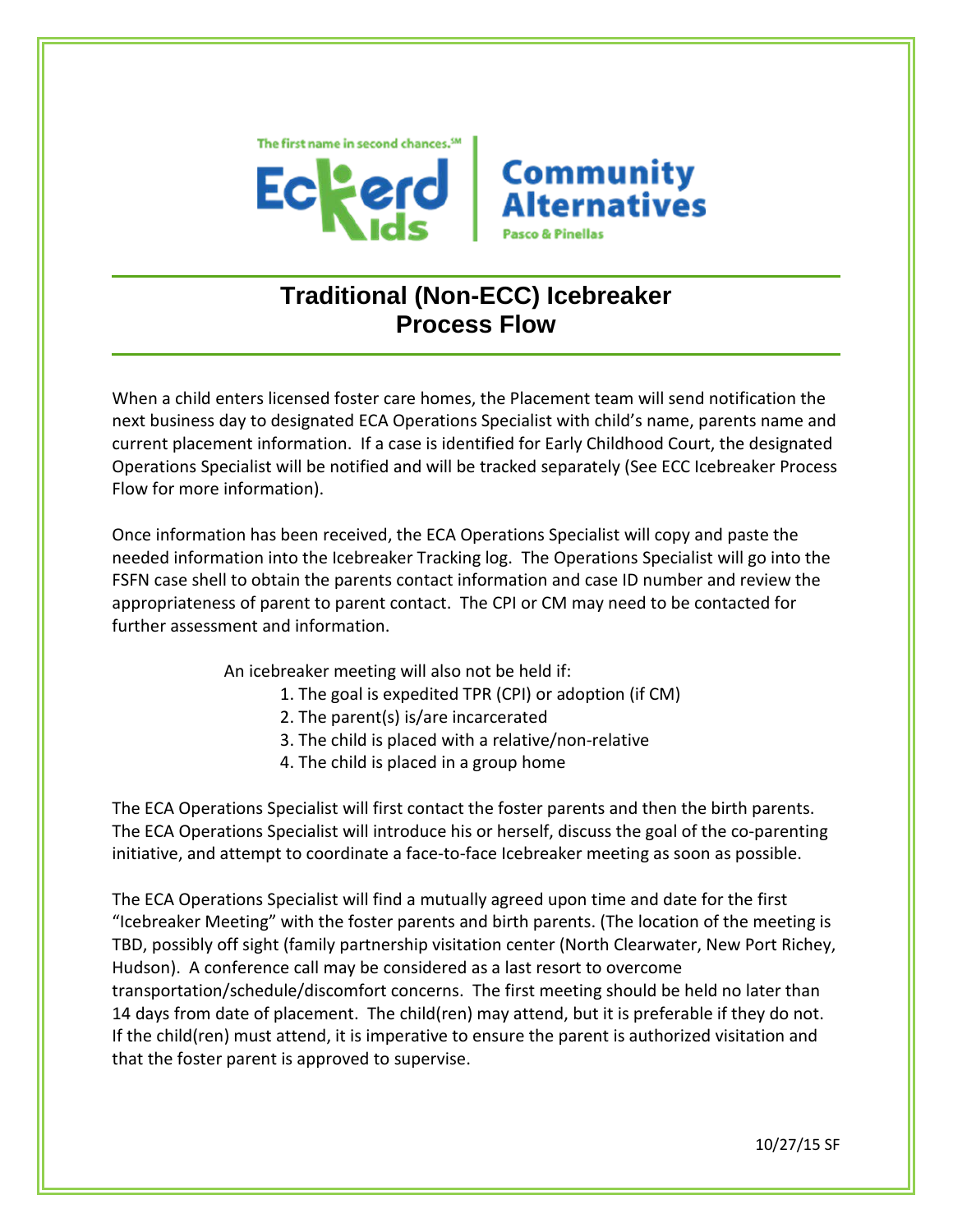



# **Traditional (Non-ECC) Icebreaker Process Flow**

When a child enters licensed foster care homes, the Placement team will send notification the next business day to designated ECA Operations Specialist with child's name, parents name and current placement information. If a case is identified for Early Childhood Court, the designated Operations Specialist will be notified and will be tracked separately (See ECC Icebreaker Process Flow for more information).

Once information has been received, the ECA Operations Specialist will copy and paste the needed information into the Icebreaker Tracking log. The Operations Specialist will go into the FSFN case shell to obtain the parents contact information and case ID number and review the appropriateness of parent to parent contact. The CPI or CM may need to be contacted for further assessment and information.

An icebreaker meeting will also not be held if:

- 1. The goal is expedited TPR (CPI) or adoption (if CM)
- 2. The parent(s) is/are incarcerated
- 3. The child is placed with a relative/non-relative
- 4. The child is placed in a group home

The ECA Operations Specialist will first contact the foster parents and then the birth parents. The ECA Operations Specialist will introduce his or herself, discuss the goal of the co-parenting initiative, and attempt to coordinate a face-to-face Icebreaker meeting as soon as possible.

The ECA Operations Specialist will find a mutually agreed upon time and date for the first "Icebreaker Meeting" with the foster parents and birth parents. (The location of the meeting is TBD, possibly off sight (family partnership visitation center (North Clearwater, New Port Richey, Hudson). A conference call may be considered as a last resort to overcome transportation/schedule/discomfort concerns. The first meeting should be held no later than 14 days from date of placement. The child(ren) may attend, but it is preferable if they do not. If the child(ren) must attend, it is imperative to ensure the parent is authorized visitation and that the foster parent is approved to supervise.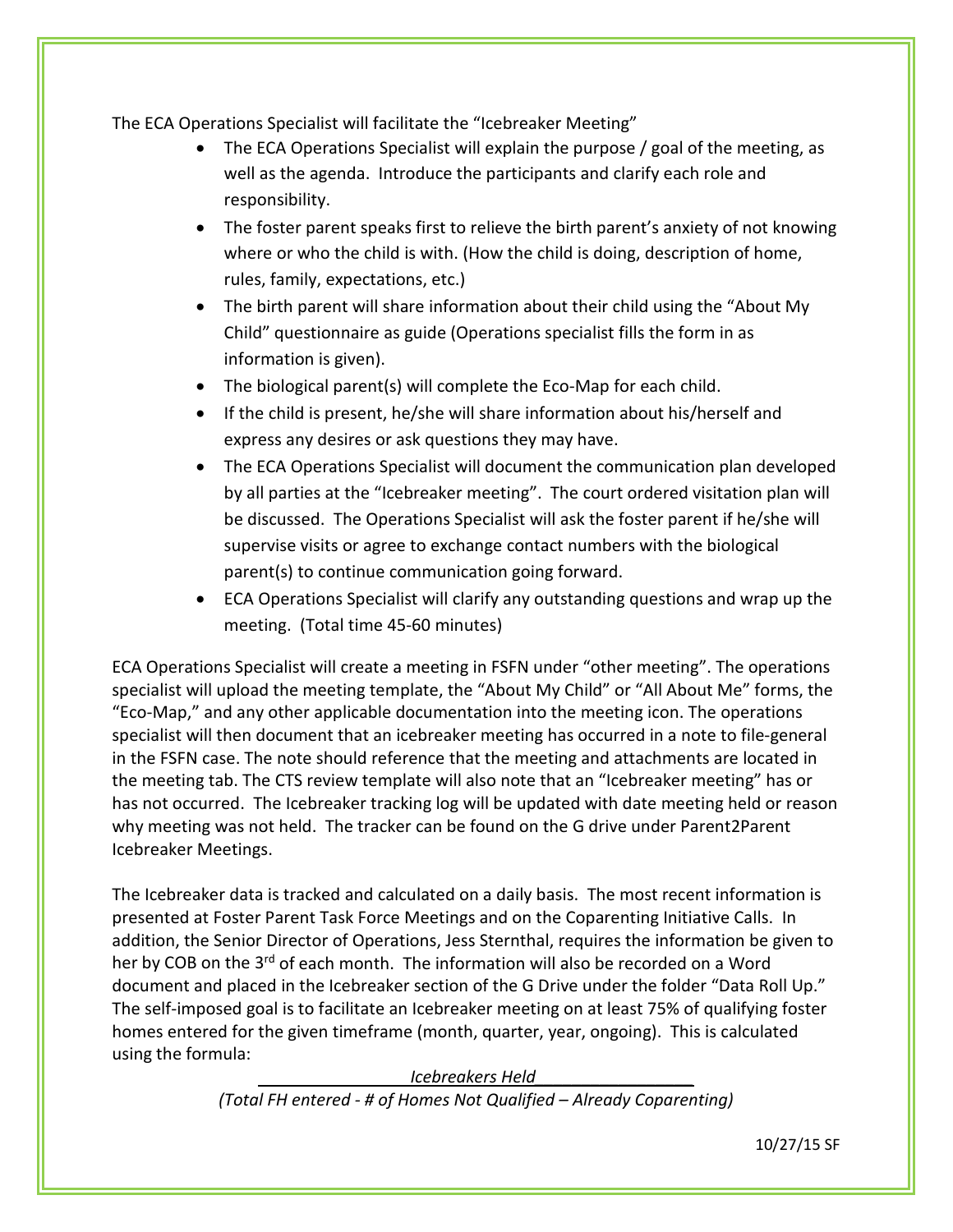The ECA Operations Specialist will facilitate the "Icebreaker Meeting"

- The ECA Operations Specialist will explain the purpose / goal of the meeting, as well as the agenda. Introduce the participants and clarify each role and responsibility.
- The foster parent speaks first to relieve the birth parent's anxiety of not knowing where or who the child is with. (How the child is doing, description of home, rules, family, expectations, etc.)
- The birth parent will share information about their child using the "About My Child" questionnaire as guide (Operations specialist fills the form in as information is given).
- The biological parent(s) will complete the Eco-Map for each child.
- If the child is present, he/she will share information about his/herself and express any desires or ask questions they may have.
- The ECA Operations Specialist will document the communication plan developed by all parties at the "Icebreaker meeting". The court ordered visitation plan will be discussed. The Operations Specialist will ask the foster parent if he/she will supervise visits or agree to exchange contact numbers with the biological parent(s) to continue communication going forward.
- ECA Operations Specialist will clarify any outstanding questions and wrap up the meeting. (Total time 45-60 minutes)

ECA Operations Specialist will create a meeting in FSFN under "other meeting". The operations specialist will upload the meeting template, the "About My Child" or "All About Me" forms, the "Eco-Map," and any other applicable documentation into the meeting icon. The operations specialist will then document that an icebreaker meeting has occurred in a note to file-general in the FSFN case. The note should reference that the meeting and attachments are located in the meeting tab. The CTS review template will also note that an "Icebreaker meeting" has or has not occurred. The Icebreaker tracking log will be updated with date meeting held or reason why meeting was not held. The tracker can be found on the G drive under Parent2Parent Icebreaker Meetings.

The Icebreaker data is tracked and calculated on a daily basis. The most recent information is presented at Foster Parent Task Force Meetings and on the Coparenting Initiative Calls. In addition, the Senior Director of Operations, Jess Sternthal, requires the information be given to her by COB on the 3<sup>rd</sup> of each month. The information will also be recorded on a Word document and placed in the Icebreaker section of the G Drive under the folder "Data Roll Up." The self-imposed goal is to facilitate an Icebreaker meeting on at least 75% of qualifying foster homes entered for the given timeframe (month, quarter, year, ongoing). This is calculated using the formula:

 *Icebreakers Held\_\_\_\_\_\_\_\_\_\_\_\_\_\_\_\_\_* 

*(Total FH entered - # of Homes Not Qualified – Already Coparenting)*